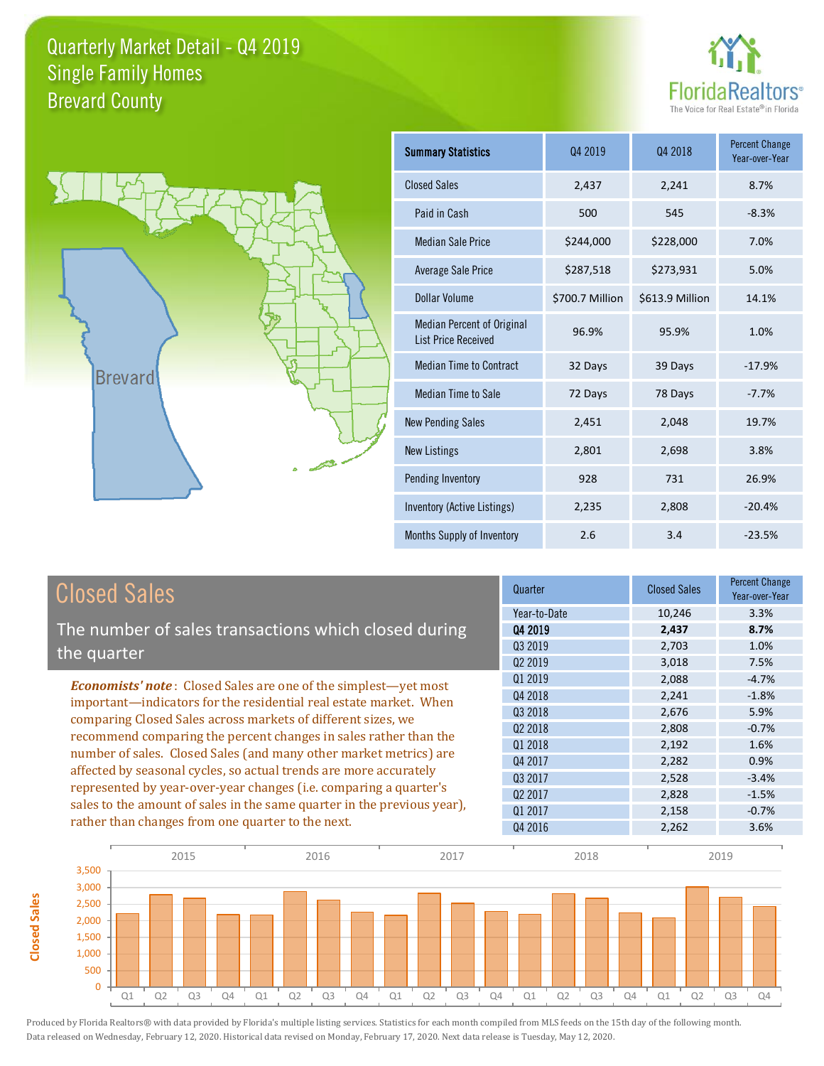



**Closed Sales**

**Closed Sales** 

| <b>Summary Statistics</b>                                       | 04 2019         | Q4 2018         | <b>Percent Change</b><br>Year-over-Year |
|-----------------------------------------------------------------|-----------------|-----------------|-----------------------------------------|
| <b>Closed Sales</b>                                             | 2,437           | 2,241           | 8.7%                                    |
| Paid in Cash                                                    | 500             | 545             | $-8.3%$                                 |
| <b>Median Sale Price</b>                                        | \$244,000       | \$228,000       | 7.0%                                    |
| Average Sale Price                                              | \$287,518       | \$273,931       | 5.0%                                    |
| <b>Dollar Volume</b>                                            | \$700.7 Million | \$613.9 Million | 14.1%                                   |
| <b>Median Percent of Original</b><br><b>List Price Received</b> | 96.9%           | 95.9%           | 1.0%                                    |
| <b>Median Time to Contract</b>                                  | 32 Days         | 39 Days         | $-17.9%$                                |
| Median Time to Sale                                             | 72 Days         | 78 Days         | $-7.7%$                                 |
| <b>New Pending Sales</b>                                        | 2,451           | 2,048           | 19.7%                                   |
| <b>New Listings</b>                                             | 2,801           | 2,698           | 3.8%                                    |
| Pending Inventory                                               | 928             | 731             | 26.9%                                   |
| Inventory (Active Listings)                                     | 2,235           | 2,808           | $-20.4%$                                |
| Months Supply of Inventory                                      | 2.6             | 3.4             | $-23.5%$                                |

| <b>Closed Sales</b>                                                     | Quarter             | <b>Closed Sales</b> | <b>Percent Change</b><br>Year-over-Year |
|-------------------------------------------------------------------------|---------------------|---------------------|-----------------------------------------|
|                                                                         | Year-to-Date        | 10,246              | 3.3%                                    |
| The number of sales transactions which closed during                    | 04 2019             | 2,437               | 8.7%                                    |
| the quarter                                                             | Q3 2019             | 2,703               | 1.0%                                    |
|                                                                         | 02 2019             | 3,018               | 7.5%                                    |
| <b>Economists' note:</b> Closed Sales are one of the simplest—yet most  | Q1 2019             | 2,088               | $-4.7%$                                 |
| important-indicators for the residential real estate market. When       | Q4 2018             | 2,241               | $-1.8%$                                 |
| comparing Closed Sales across markets of different sizes, we            | Q3 2018             | 2,676               | 5.9%                                    |
| recommend comparing the percent changes in sales rather than the        | 02 2018             | 2,808               | $-0.7%$                                 |
|                                                                         | Q1 2018             | 2,192               | 1.6%                                    |
| number of sales. Closed Sales (and many other market metrics) are       | Q4 2017             | 2,282               | 0.9%                                    |
| affected by seasonal cycles, so actual trends are more accurately       | Q3 2017             | 2,528               | $-3.4%$                                 |
| represented by year-over-year changes (i.e. comparing a quarter's       | Q <sub>2</sub> 2017 | 2,828               | $-1.5%$                                 |
| sales to the amount of sales in the same quarter in the previous year), | 01 2017             | 2,158               | $-0.7%$                                 |
| rather than changes from one quarter to the next.                       | Q4 2016             | 2,262               | 3.6%                                    |

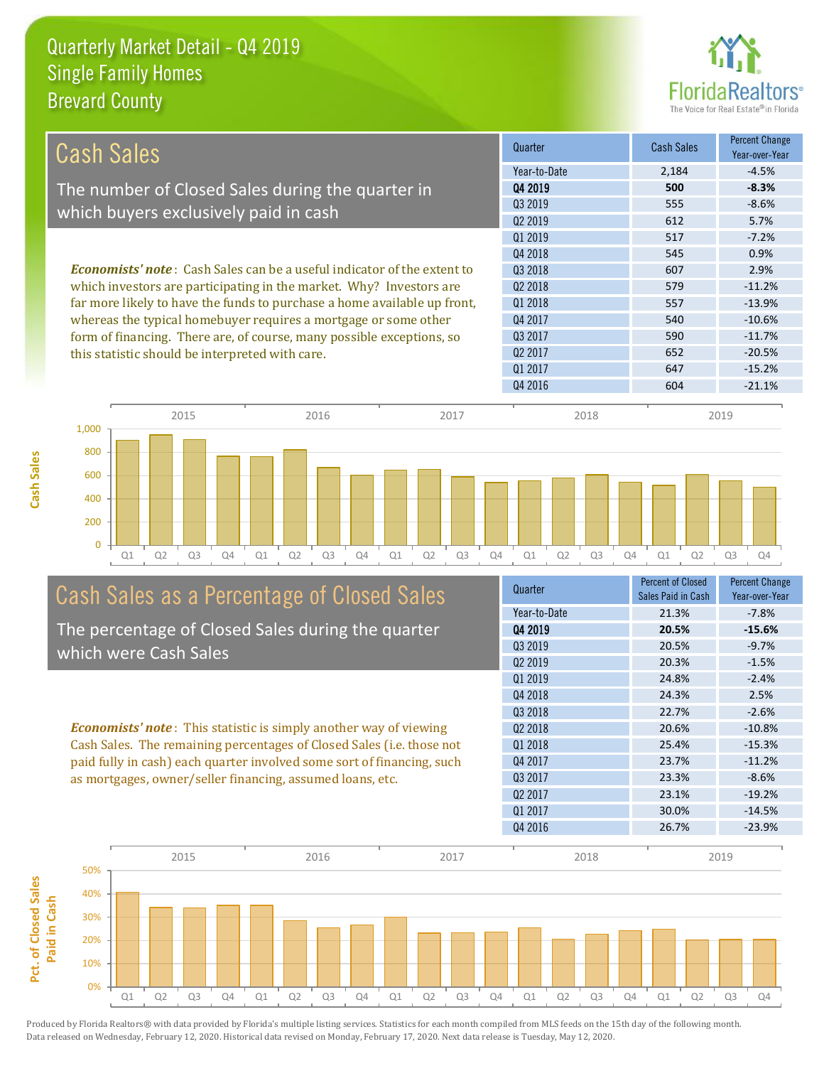

| Cash Sales                                                                                                                                            | Quarter             | Cash Sales | <b>Percent Change</b><br>Year-over-Year |
|-------------------------------------------------------------------------------------------------------------------------------------------------------|---------------------|------------|-----------------------------------------|
|                                                                                                                                                       | Year-to-Date        | 2,184      | $-4.5%$                                 |
| The number of Closed Sales during the quarter in                                                                                                      | Q4 2019             | 500        | $-8.3%$                                 |
|                                                                                                                                                       | Q3 2019             | 555        | $-8.6%$                                 |
| which buyers exclusively paid in cash                                                                                                                 | Q <sub>2</sub> 2019 | 612        | 5.7%                                    |
|                                                                                                                                                       | 01 2019             | 517        | $-7.2%$                                 |
|                                                                                                                                                       | Q4 2018             | 545        | 0.9%                                    |
| <b>Economists' note:</b> Cash Sales can be a useful indicator of the extent to<br>which investors are participating in the market. Why? Investors are | 03 2018             | 607        | 2.9%                                    |
|                                                                                                                                                       | Q <sub>2</sub> 2018 | 579        | $-11.2%$                                |
| far more likely to have the funds to purchase a home available up front,                                                                              | 01 2018             | 557        | $-13.9%$                                |
| whereas the typical homebuyer requires a mortgage or some other                                                                                       | Q4 2017             | 540        | $-10.6%$                                |
| form of financing. There are, of course, many possible exceptions, so                                                                                 | Q3 2017             | 590        | $-11.7%$                                |
| this statistic should be interpreted with care.                                                                                                       | Q <sub>2</sub> 2017 | 652        | $-20.5%$                                |
|                                                                                                                                                       | 01 2017             | 647        | $-15.2%$                                |
|                                                                                                                                                       | Q4 2016             | 604        | $-21.1%$                                |



# Cash Sales as a Percentage of Closed Sales

The percentage of Closed Sales during the quarter which were Cash Sales

*Economists' note* : This statistic is simply another way of viewing Cash Sales. The remaining percentages of Closed Sales (i.e. those not paid fully in cash) each quarter involved some sort of financing, such as mortgages, owner/seller financing, assumed loans, etc.

| Quarter             | <b>Percent of Closed</b><br>Sales Paid in Cash | <b>Percent Change</b><br>Year-over-Year |
|---------------------|------------------------------------------------|-----------------------------------------|
| Year-to-Date        | 21.3%                                          | $-7.8%$                                 |
| 04 2019             | 20.5%                                          | $-15.6%$                                |
| 03 2019             | 20.5%                                          | $-9.7%$                                 |
| Q <sub>2</sub> 2019 | 20.3%                                          | $-1.5%$                                 |
| Q1 2019             | 24.8%                                          | $-2.4%$                                 |
| Q4 2018             | 24.3%                                          | 2.5%                                    |
| Q3 2018             | 22.7%                                          | $-2.6%$                                 |
| 02 2018             | 20.6%                                          | $-10.8%$                                |
| Q1 2018             | 25.4%                                          | $-15.3%$                                |
| Q4 2017             | 23.7%                                          | $-11.2%$                                |
| 03 2017             | 23.3%                                          | $-8.6%$                                 |
| Q <sub>2</sub> 2017 | 23.1%                                          | $-19.2%$                                |
| Q1 2017             | 30.0%                                          | $-14.5%$                                |
| Q4 2016             | 26.7%                                          | $-23.9%$                                |

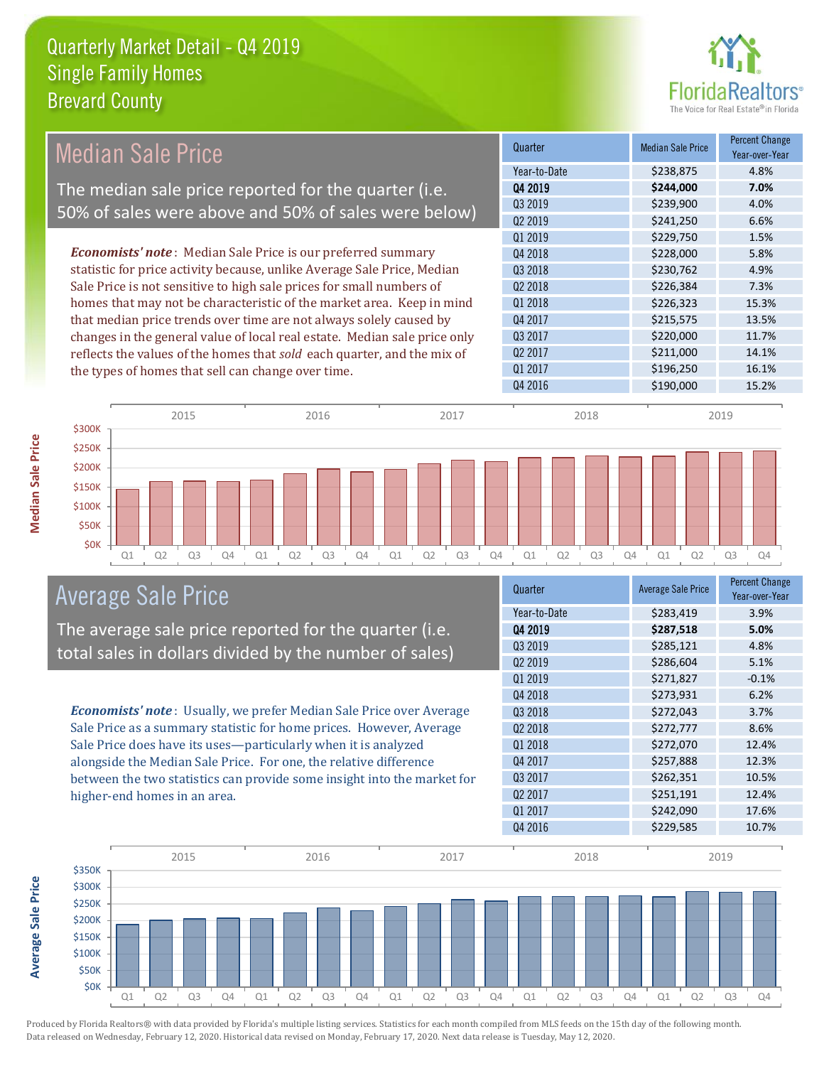

|                                                                                                                                               | <b>Median Sale Price</b>                           |                                                                           |           | Quarter             | <b>Median Sale Price</b> | <b>Percent Change</b><br>Year-over-Year |
|-----------------------------------------------------------------------------------------------------------------------------------------------|----------------------------------------------------|---------------------------------------------------------------------------|-----------|---------------------|--------------------------|-----------------------------------------|
|                                                                                                                                               |                                                    |                                                                           |           | Year-to-Date        | \$238,875                | 4.8%                                    |
|                                                                                                                                               |                                                    | The median sale price reported for the quarter (i.e.                      |           | Q4 2019             | \$244,000                | 7.0%                                    |
|                                                                                                                                               |                                                    | 50% of sales were above and 50% of sales were below)                      |           | Q3 2019             | \$239,900                | 4.0%                                    |
|                                                                                                                                               |                                                    |                                                                           |           | Q2 2019             | \$241,250                | 6.6%                                    |
|                                                                                                                                               |                                                    |                                                                           |           | Q1 2019             | \$229,750                | 1.5%                                    |
|                                                                                                                                               |                                                    | <b>Economists' note</b> : Median Sale Price is our preferred summary      |           | Q4 2018             | \$228,000                | 5.8%                                    |
|                                                                                                                                               |                                                    | statistic for price activity because, unlike Average Sale Price, Median   |           | Q3 2018             | \$230,762                | 4.9%                                    |
| Sale Price is not sensitive to high sale prices for small numbers of<br>homes that may not be characteristic of the market area. Keep in mind |                                                    | Q2 2018                                                                   | \$226,384 | 7.3%                |                          |                                         |
|                                                                                                                                               |                                                    | Q1 2018                                                                   | \$226,323 | 15.3%               |                          |                                         |
|                                                                                                                                               |                                                    | that median price trends over time are not always solely caused by        |           | Q4 2017             | \$215,575                | 13.5%                                   |
|                                                                                                                                               |                                                    | changes in the general value of local real estate. Median sale price only |           | Q3 2017             | \$220,000                | 11.7%                                   |
|                                                                                                                                               |                                                    | reflects the values of the homes that sold each quarter, and the mix of   |           | Q <sub>2</sub> 2017 | \$211,000                | 14.1%                                   |
|                                                                                                                                               | the types of homes that sell can change over time. |                                                                           |           | Q1 2017             | \$196,250                | 16.1%                                   |
|                                                                                                                                               |                                                    |                                                                           |           | Q4 2016             | \$190,000                | 15.2%                                   |
|                                                                                                                                               | 2015                                               | 2016                                                                      | 2017      | 2018                |                          | 2019                                    |
| \$300K                                                                                                                                        |                                                    |                                                                           |           |                     |                          |                                         |
| \$250K                                                                                                                                        |                                                    |                                                                           |           |                     |                          |                                         |
| \$200K                                                                                                                                        |                                                    |                                                                           |           |                     |                          |                                         |
| \$150K                                                                                                                                        |                                                    |                                                                           |           |                     |                          |                                         |

Q1 Q2 Q3 Q4 Q1 Q2 Q3 Q4 Q1 Q2 Q3 Q4 Q1 Q2 Q3 Q4 Q1 Q2 Q3 Q4

| Average Sale Price |  |  |
|--------------------|--|--|
|--------------------|--|--|

**\$0K** \$50K \$100K

The average sale price reported for the quarter (i.e. total sales in dollars divided by the number of sales)

*Economists' note* : Usually, we prefer Median Sale Price over Average Sale Price as a summary statistic for home prices. However, Average Sale Price does have its uses—particularly when it is analyzed alongside the Median Sale Price. For one, the relative difference between the two statistics can provide some insight into the market for higher-end homes in an area.

| Quarter             | <b>Average Sale Price</b> | <b>Percent Change</b><br>Year-over-Year |
|---------------------|---------------------------|-----------------------------------------|
| Year-to-Date        | \$283,419                 | 3.9%                                    |
| Q4 2019             | \$287,518                 | 5.0%                                    |
| Q3 2019             | \$285,121                 | 4.8%                                    |
| Q <sub>2</sub> 2019 | \$286,604                 | 5.1%                                    |
| 01 2019             | \$271,827                 | $-0.1%$                                 |
| Q4 2018             | \$273,931                 | 6.2%                                    |
| Q3 2018             | \$272,043                 | 3.7%                                    |
| Q2 2018             | \$272,777                 | 8.6%                                    |
| Q1 2018             | \$272,070                 | 12.4%                                   |
| Q4 2017             | \$257,888                 | 12.3%                                   |
| Q3 2017             | \$262,351                 | 10.5%                                   |
| Q <sub>2</sub> 2017 | \$251,191                 | 12.4%                                   |
| Q1 2017             | \$242,090                 | 17.6%                                   |
| Q4 2016             | \$229,585                 | 10.7%                                   |



Produced by Florida Realtors® with data provided by Florida's multiple listing services. Statistics for each month compiled from MLS feeds on the 15th day of the following month. Data released on Wednesday, February 12, 2020. Historical data revised on Monday, February 17, 2020. Next data release is Tuesday, May 12, 2020.

**Average Sale Price**

**Average Sale Price**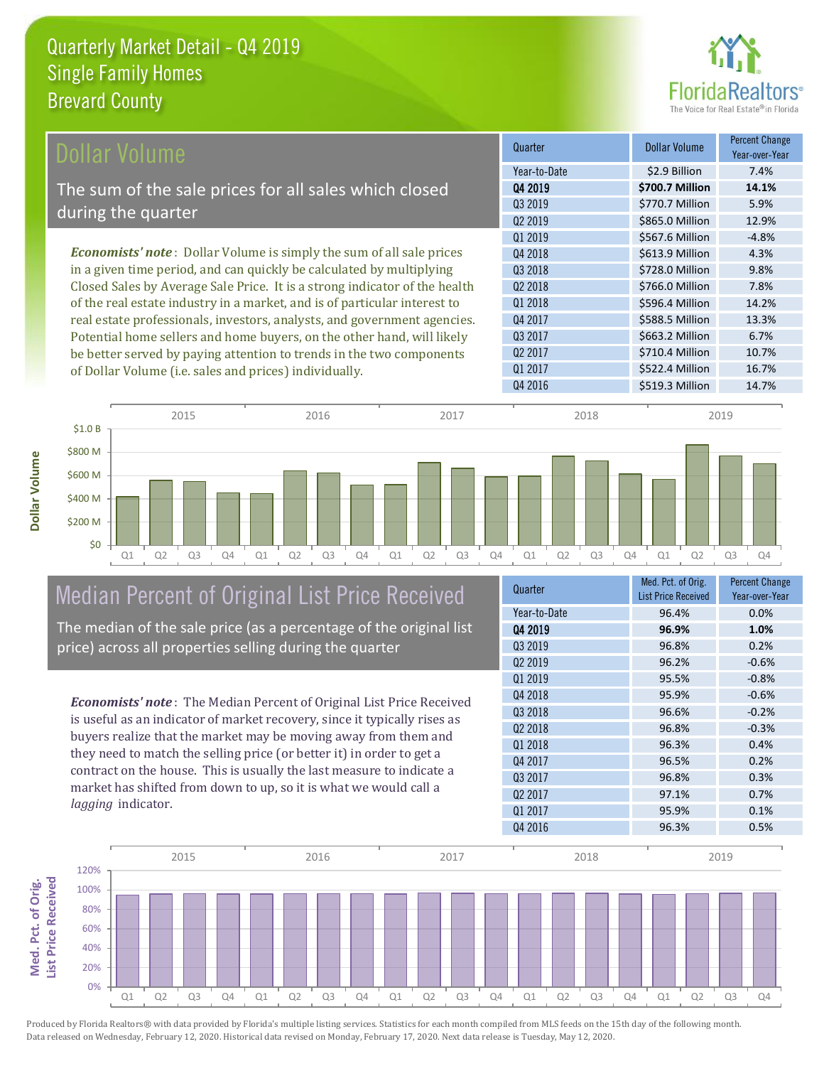

| Dollar Volume                                                               | Quarter             | <b>Dollar Volume</b> | <b>Percent Change</b><br>Year-over-Year |
|-----------------------------------------------------------------------------|---------------------|----------------------|-----------------------------------------|
|                                                                             | Year-to-Date        | \$2.9 Billion        | 7.4%                                    |
| The sum of the sale prices for all sales which closed                       | Q4 2019             | \$700.7 Million      | 14.1%                                   |
|                                                                             | 03 2019             | \$770.7 Million      | 5.9%                                    |
| during the quarter                                                          | Q <sub>2</sub> 2019 | \$865.0 Million      | 12.9%                                   |
|                                                                             | Q1 2019             | \$567.6 Million      | $-4.8%$                                 |
| <b>Economists' note:</b> Dollar Volume is simply the sum of all sale prices | Q4 2018             | \$613.9 Million      | 4.3%                                    |
| in a given time period, and can quickly be calculated by multiplying        | Q3 2018             | \$728.0 Million      | 9.8%                                    |
| Closed Sales by Average Sale Price. It is a strong indicator of the health  | Q <sub>2</sub> 2018 | \$766.0 Million      | 7.8%                                    |
| of the real estate industry in a market, and is of particular interest to   | Q1 2018             | \$596.4 Million      | 14.2%                                   |
| real estate professionals, investors, analysts, and government agencies.    | Q4 2017             | \$588.5 Million      | 13.3%                                   |
| Potential home sellers and home buyers, on the other hand, will likely      | Q3 2017             | \$663.2 Million      | 6.7%                                    |
| be better served by paying attention to trends in the two components        | Q <sub>2</sub> 2017 | \$710.4 Million      | 10.7%                                   |
| of Dollar Volume (i.e. sales and prices) individually.                      | Q1 2017             | \$522.4 Million      | 16.7%                                   |



# Median Percent of Original List Price Received

The median of the sale price (as a percentage of the original list price) across all properties selling during the quarter

*Economists' note* : The Median Percent of Original List Price Received is useful as an indicator of market recovery, since it typically rises as buyers realize that the market may be moving away from them and they need to match the selling price (or better it) in order to get a contract on the house. This is usually the last measure to indicate a market has shifted from down to up, so it is what we would call a *lagging* indicator.

| Med. Pct. of Orig.<br><b>List Price Received</b> | <b>Percent Change</b><br>Year-over-Year |
|--------------------------------------------------|-----------------------------------------|
| 96.4%                                            | 0.0%                                    |
| 96.9%                                            | 1.0%                                    |
| 96.8%                                            | 0.2%                                    |
| 96.2%                                            | $-0.6%$                                 |
| 95.5%                                            | $-0.8%$                                 |
| 95.9%                                            | $-0.6%$                                 |
| 96.6%                                            | $-0.2%$                                 |
| 96.8%                                            | $-0.3%$                                 |
| 96.3%                                            | 0.4%                                    |
| 96.5%                                            | 0.2%                                    |
| 96.8%                                            | 0.3%                                    |
| 97.1%                                            | 0.7%                                    |
| 95.9%                                            | 0.1%                                    |
| 96.3%                                            | 0.5%                                    |
|                                                  |                                         |



**Med. Pct. of Orig.**  Med. Pct. of Orig.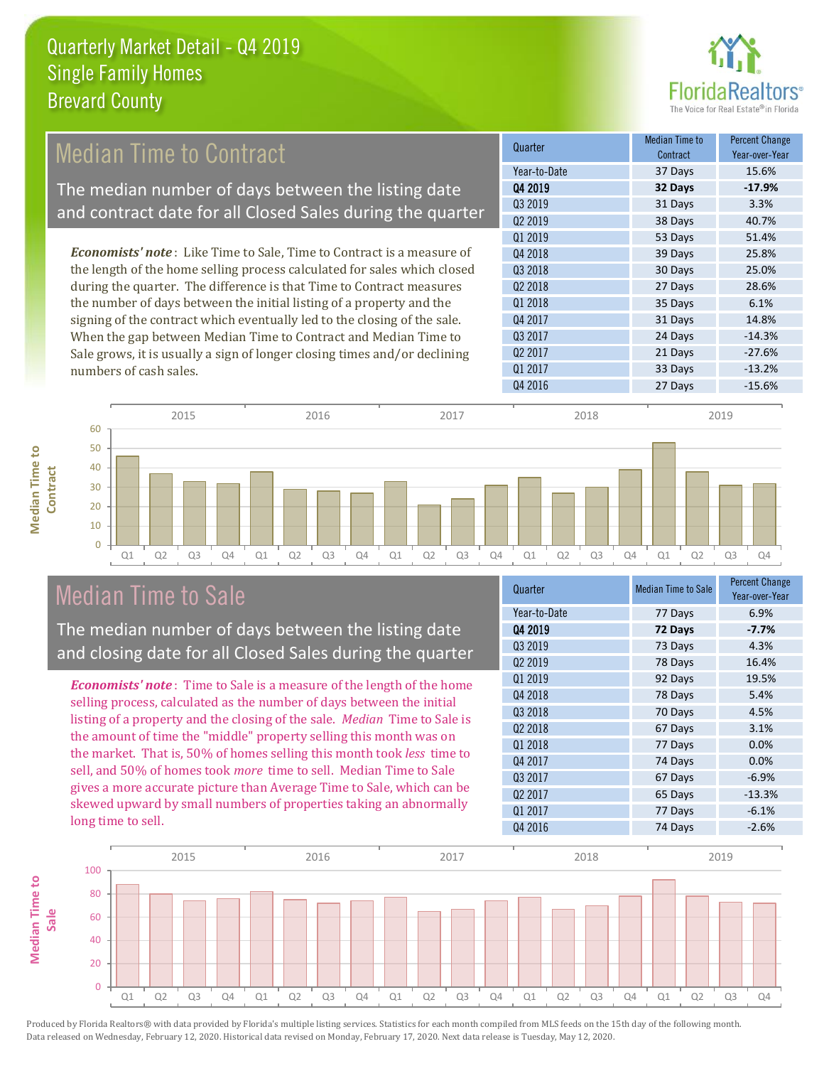

#### 38 Days 40.7% Q1 2019 53 Days 51.4% Quarter Median Time to Contract Contract Contract Contract Contract Contract Contract Contract Contract Contract Contract Contract Contract Contract Contract Contract Contract Contract Contract Contract Contract Contract C Contract Percent Change Year-over-Year Q4 2019 **32 Days -17.9%** Year-to-Date 37 Days 15.6% Q3 2019 31 Days 3.3% Q2 2019 Q2 2018 27 Days 28.6% Q4 2018 39 Days 25.8% Q3 2018 30 Days 25.0% *Economists' note* : Like Time to Sale, Time to Contract is a measure of the length of the home selling process calculated for sales which closed during the quarter. The difference is that Time to Contract measures Median Time to Contract The median number of days between the listing date and contract date for all Closed Sales during the quarter

the number of days between the initial listing of a property and the signing of the contract which eventually led to the closing of the sale. When the gap between Median Time to Contract and Median Time to Sale grows, it is usually a sign of longer closing times and/or declining numbers of cash sales.

| vulludul | 1 041 - UVGI - I 041 |
|----------|----------------------|
| 37 Days  | 15.6%                |
| 32 Days  | $-17.9%$             |
| 31 Days  | 3.3%                 |
| 38 Days  | 40.7%                |
| 53 Days  | 51.4%                |
| 39 Days  | 25.8%                |
| 30 Days  | 25.0%                |
| 27 Days  | 28.6%                |
| 35 Days  | 6.1%                 |
| 31 Days  | 14.8%                |
| 24 Days  | $-14.3%$             |
| 21 Days  | $-27.6%$             |
| 33 Days  | $-13.2%$             |
| 27 Days  | $-15.6%$             |
|          |                      |



### Median Time to Sale

**Median Time to Contract**

**Median Time to** 

The median number of days between the listing date and closing date for all Closed Sales during the quarter

*Economists' note* : Time to Sale is a measure of the length of the home selling process, calculated as the number of days between the initial listing of a property and the closing of the sale. *Median* Time to Sale is the amount of time the "middle" property selling this month was on the market. That is, 50% of homes selling this month took *less* time to sell, and 50% of homes took *more* time to sell. Median Time to Sale gives a more accurate picture than Average Time to Sale, which can be skewed upward by small numbers of properties taking an abnormally long time to sell.

| <b>Median Time to Sale</b> | <b>Percent Change</b><br>Year-over-Year |
|----------------------------|-----------------------------------------|
| 77 Days                    | 6.9%                                    |
| 72 Days                    | -7.7%                                   |
| 73 Days                    | 4.3%                                    |
| 78 Days                    | 16.4%                                   |
| 92 Days                    | 19.5%                                   |
| 78 Days                    | 5.4%                                    |
| 70 Days                    | 4.5%                                    |
| 67 Days                    | 3.1%                                    |
| 77 Days                    | 0.0%                                    |
| 74 Days                    | 0.0%                                    |
| 67 Days                    | $-6.9%$                                 |
| 65 Days                    | $-13.3%$                                |
| 77 Days                    | $-6.1%$                                 |
| 74 Days                    | $-2.6%$                                 |
|                            |                                         |

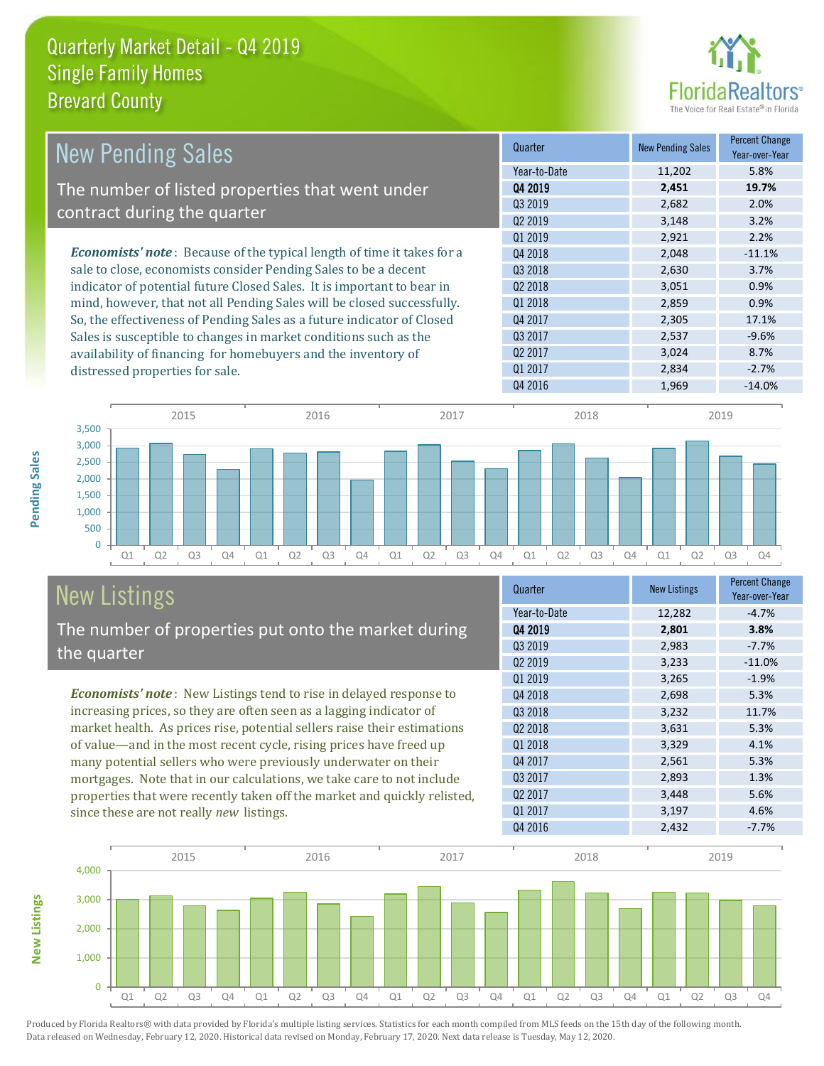

| <b>New Pending Sales</b>                                                      | Quarter             | <b>New Pending Sales</b> | <b>Percent Change</b><br>Year-over-Year |
|-------------------------------------------------------------------------------|---------------------|--------------------------|-----------------------------------------|
|                                                                               | Year-to-Date        | 11,202                   | 5.8%                                    |
| The number of listed properties that went under                               | Q4 2019             | 2,451                    | 19.7%                                   |
|                                                                               | Q3 2019             | 2,682                    | 2.0%                                    |
| contract during the quarter                                                   | Q <sub>2</sub> 2019 | 3,148                    | 3.2%                                    |
|                                                                               | Q1 2019             | 2,921                    | 2.2%                                    |
| <b>Economists' note:</b> Because of the typical length of time it takes for a | Q4 2018             | 2,048                    | $-11.1%$                                |
| sale to close, economists consider Pending Sales to be a decent               | Q3 2018             | 2,630                    | 3.7%                                    |
| indicator of potential future Closed Sales. It is important to bear in        | 02 2018             | 3,051                    | 0.9%                                    |
| mind, however, that not all Pending Sales will be closed successfully.        | 01 2018             | 2,859                    | 0.9%                                    |
| So, the effectiveness of Pending Sales as a future indicator of Closed        | Q4 2017             | 2,305                    | 17.1%                                   |
| Sales is susceptible to changes in market conditions such as the              | Q3 2017             | 2,537                    | $-9.6%$                                 |
| availability of financing for homebuyers and the inventory of                 | Q <sub>2</sub> 2017 | 3,024                    | 8.7%                                    |
| distressed properties for sale.                                               | Q1 2017             | 2,834                    | $-2.7%$                                 |



#### New Listings The number of properties put onto the market during the quarter

*Economists' note* : New Listings tend to rise in delayed response to increasing prices, so they are often seen as a lagging indicator of market health. As prices rise, potential sellers raise their estimations of value—and in the most recent cycle, rising prices have freed up many potential sellers who were previously underwater on their mortgages. Note that in our calculations, we take care to not include properties that were recently taken off the market and quickly relisted, since these are not really *new* listings.

| Quarter             | <b>New Listings</b> | <b>Percent Change</b><br>Year-over-Year |
|---------------------|---------------------|-----------------------------------------|
| Year-to-Date        | 12,282              | $-4.7%$                                 |
| 04 2019             | 2,801               | 3.8%                                    |
| Q3 2019             | 2,983               | $-7.7%$                                 |
| Q <sub>2</sub> 2019 | 3,233               | $-11.0%$                                |
| Q1 2019             | 3,265               | $-1.9%$                                 |
| Q4 2018             | 2,698               | 5.3%                                    |
| Q3 2018             | 3,232               | 11.7%                                   |
| 02 2018             | 3,631               | 5.3%                                    |
| Q1 2018             | 3,329               | 4.1%                                    |
| Q4 2017             | 2,561               | 5.3%                                    |
| Q3 2017             | 2,893               | 1.3%                                    |
| Q <sub>2</sub> 2017 | 3,448               | 5.6%                                    |
| Q1 2017             | 3,197               | 4.6%                                    |
| Q4 2016             | 2,432               | $-7.7%$                                 |

Q4 2016 **1,969** -14.0%



Produced by Florida Realtors® with data provided by Florida's multiple listing services. Statistics for each month compiled from MLS feeds on the 15th day of the following month. Data released on Wednesday, February 12, 2020. Historical data revised on Monday, February 17, 2020. Next data release is Tuesday, May 12, 2020.

**New Listings**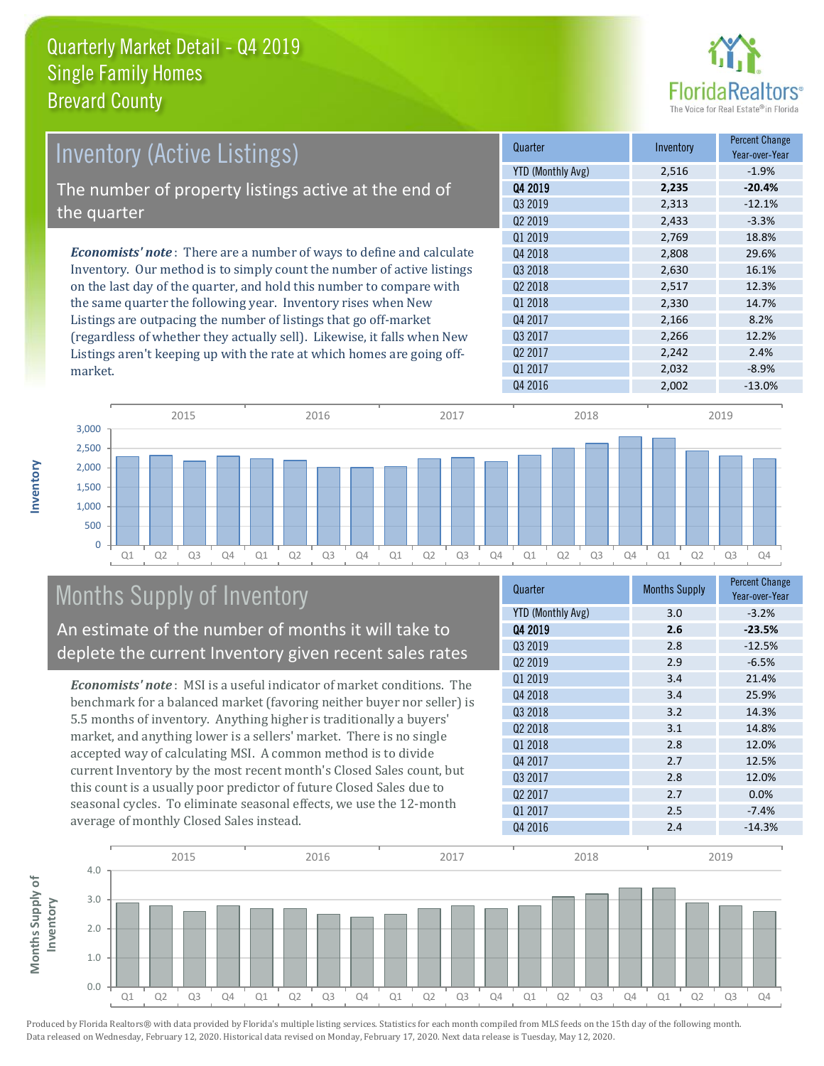

| Inventory (Active Listings)                                                  | Quarter             | Inventory | <b>Percent Change</b><br>Year-over-Year |
|------------------------------------------------------------------------------|---------------------|-----------|-----------------------------------------|
|                                                                              | YTD (Monthly Avg)   | 2,516     | $-1.9%$                                 |
| The number of property listings active at the end of                         | Q4 2019             | 2,235     | $-20.4%$                                |
|                                                                              | 03 2019             | 2,313     | $-12.1%$                                |
| the quarter                                                                  | Q <sub>2</sub> 2019 | 2,433     | $-3.3%$                                 |
|                                                                              | 01 2019             | 2.769     | 18.8%                                   |
| <b>Economists' note</b> : There are a number of ways to define and calculate | Q4 2018             | 2,808     | 29.6%                                   |
| Inventory. Our method is to simply count the number of active listings       | 03 2018             | 2,630     | 16.1%                                   |
| on the last day of the quarter, and hold this number to compare with         | Q <sub>2</sub> 2018 | 2,517     | 12.3%                                   |
| the same quarter the following year. Inventory rises when New                | Q1 2018             | 2,330     | 14.7%                                   |
| Listings are outpacing the number of listings that go off-market             | Q4 2017             | 2,166     | 8.2%                                    |
| (regardless of whether they actually sell). Likewise, it falls when New      | Q3 2017             | 2,266     | 12.2%                                   |
| Listings aren't keeping up with the rate at which homes are going off-       | Q <sub>2</sub> 2017 | 2.242     | 2.4%                                    |



### Months Supply of Inventory

An estimate of the number of months it will take to deplete the current Inventory given recent sales rates

*Economists' note* : MSI is a useful indicator of market conditions. The benchmark for a balanced market (favoring neither buyer nor seller) is 5.5 months of inventory. Anything higher is traditionally a buyers' market, and anything lower is a sellers' market. There is no single accepted way of calculating MSI. A common method is to divide current Inventory by the most recent month's Closed Sales count, but this count is a usually poor predictor of future Closed Sales due to seasonal cycles. To eliminate seasonal effects, we use the 12-month average of monthly Closed Sales instead.

| Quarter                  | <b>Months Supply</b> | <b>Percent Change</b><br>Year-over-Year |
|--------------------------|----------------------|-----------------------------------------|
| <b>YTD (Monthly Avg)</b> | 3.0                  | $-3.2%$                                 |
| Q4 2019                  | 2.6                  | $-23.5%$                                |
| Q3 2019                  | 2.8                  | $-12.5%$                                |
| 02 2019                  | 2.9                  | $-6.5%$                                 |
| Q1 2019                  | 3.4                  | 21.4%                                   |
| Q4 2018                  | 3.4                  | 25.9%                                   |
| 03 2018                  | 3.2                  | 14.3%                                   |
| Q2 2018                  | 3.1                  | 14.8%                                   |
| Q1 2018                  | 2.8                  | 12.0%                                   |
| Q4 2017                  | 2.7                  | 12.5%                                   |
| 03 2017                  | 2.8                  | 12.0%                                   |
| Q <sub>2</sub> 2017      | 2.7                  | 0.0%                                    |
| Q1 2017                  | 2.5                  | $-7.4%$                                 |
| Q4 2016                  | 2.4                  | $-14.3%$                                |

 $Q1\,2017$  2,032 -8.9%



Produced by Florida Realtors® with data provided by Florida's multiple listing services. Statistics for each month compiled from MLS feeds on the 15th day of the following month. Data released on Wednesday, February 12, 2020. Historical data revised on Monday, February 17, 2020. Next data release is Tuesday, May 12, 2020.

market.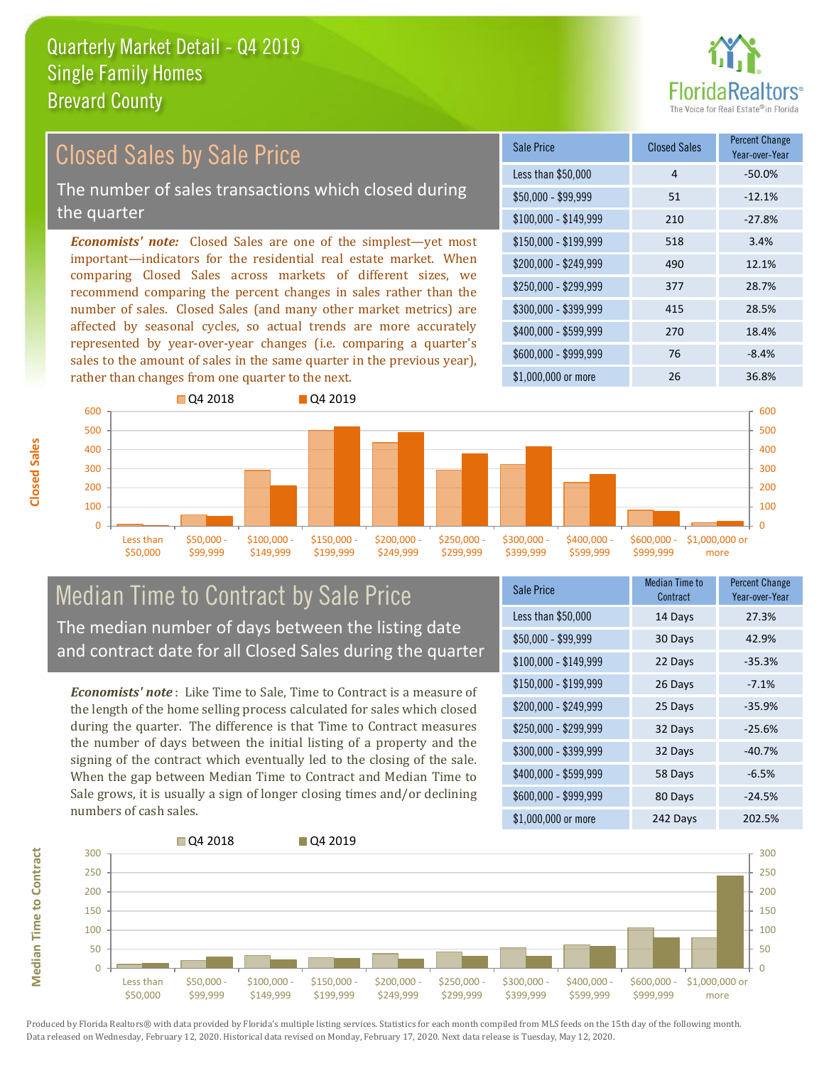

#### *Economists' note:* Closed Sales are one of the simplest—yet most important—indicators for the residential real estate market. When comparing Closed Sales across markets of different sizes, we recommend comparing the percent changes in sales rather than the number of sales. Closed Sales (and many other market metrics) are affected by seasonal cycles, so actual trends are more accurately represented by year-over-year changes (i.e. comparing a quarter's sales to the amount of sales in the same quarter in the previous year), rather than changes from one quarter to the next. \$1,000,000 or more 26 26 36.8% \$250,000 - \$299,999 377 28.7% \$300,000 - \$399,999 415 28.5% \$400,000 - \$599,999 270 18.4% \$600,000 - \$999,999 76 -8.4% \$150,000 - \$199,999 518 3.4% \$200,000 - \$249,999 490 12.1% \$100,000 - \$149,999 210 -27.8% Sale Price Closed Sales Percent Change Year-over-Year Less than \$50,000  $\overline{4}$  and  $\overline{50.0\%}$  $$50.000 - $99.999$   $$51$   $$-12.1\%$ Closed Sales by Sale Price The number of sales transactions which closed during the quarter



#### Median Time to Contract by Sale Price The median number of days between the listing date and contract date for all Closed Sales during the quarter

*Economists' note* : Like Time to Sale, Time to Contract is a measure of the length of the home selling process calculated for sales which closed during the quarter. The difference is that Time to Contract measures the number of days between the initial listing of a property and the signing of the contract which eventually led to the closing of the sale. When the gap between Median Time to Contract and Median Time to Sale grows, it is usually a sign of longer closing times and/or declining numbers of cash sales.

| <b>Sale Price</b>     | <b>Median Time to</b><br>Contract | <b>Percent Change</b><br>Year-over-Year |
|-----------------------|-----------------------------------|-----------------------------------------|
| Less than \$50,000    | 14 Days                           | 27.3%                                   |
| $$50,000 - $99,999$   | 30 Days                           | 42.9%                                   |
| $$100,000 - $149,999$ | 22 Days                           | $-35.3%$                                |
| $$150,000 - $199,999$ | 26 Days                           | $-7.1%$                                 |
| \$200,000 - \$249,999 | 25 Days                           | $-35.9%$                                |
| \$250,000 - \$299,999 | 32 Days                           | $-25.6%$                                |
| \$300,000 - \$399,999 | 32 Days                           | $-40.7%$                                |
| \$400,000 - \$599,999 | 58 Days                           | $-6.5%$                                 |
| \$600,000 - \$999,999 | 80 Days                           | $-24.5%$                                |
| \$1,000,000 or more   | 242 Days                          | 202.5%                                  |



**Median Time to Contract**

**Median Time to Contract** 

**Closed Sales**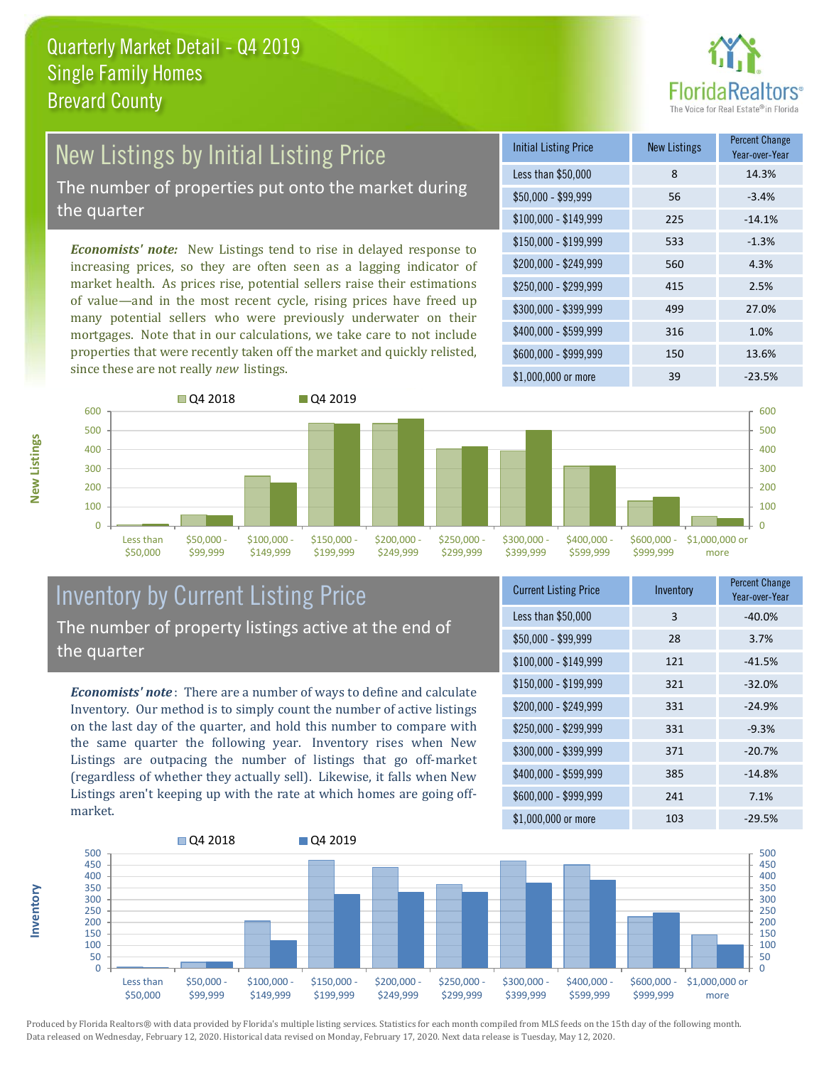

## New Listings by Initial Listing Price

The number of properties put onto the market during the quarter

*Economists' note:* New Listings tend to rise in delayed response to increasing prices, so they are often seen as a lagging indicator of market health. As prices rise, potential sellers raise their estimations of value—and in the most recent cycle, rising prices have freed up many potential sellers who were previously underwater on their mortgages. Note that in our calculations, we take care to not include properties that were recently taken off the market and quickly relisted, since these are not really *new* listings.





#### Inventory by Current Listing Price The number of property listings active at the end of the quarter

*Economists' note* : There are a number of ways to define and calculate Inventory. Our method is to simply count the number of active listings on the last day of the quarter, and hold this number to compare with the same quarter the following year. Inventory rises when New Listings are outpacing the number of listings that go off-market (regardless of whether they actually sell). Likewise, it falls when New Listings aren't keeping up with the rate at which homes are going offmarket.

| <b>Current Listing Price</b> | Inventory | <b>Percent Change</b><br>Year-over-Year |
|------------------------------|-----------|-----------------------------------------|
| Less than \$50,000           | 3         | $-40.0%$                                |
| $$50,000 - $99,999$          | 28        | 3.7%                                    |
| $$100,000 - $149,999$        | 121       | $-41.5%$                                |
| $$150,000 - $199,999$        | 321       | $-32.0%$                                |
| \$200,000 - \$249,999        | 331       | $-24.9%$                                |
| \$250,000 - \$299,999        | 331       | $-9.3%$                                 |
| \$300,000 - \$399,999        | 371       | $-20.7%$                                |
| \$400,000 - \$599,999        | 385       | $-14.8%$                                |
| \$600,000 - \$999,999        | 241       | 7.1%                                    |
| \$1,000,000 or more          | 103       | $-29.5%$                                |



Produced by Florida Realtors® with data provided by Florida's multiple listing services. Statistics for each month compiled from MLS feeds on the 15th day of the following month. Data released on Wednesday, February 12, 2020. Historical data revised on Monday, February 17, 2020. Next data release is Tuesday, May 12, 2020.

**Inventory**